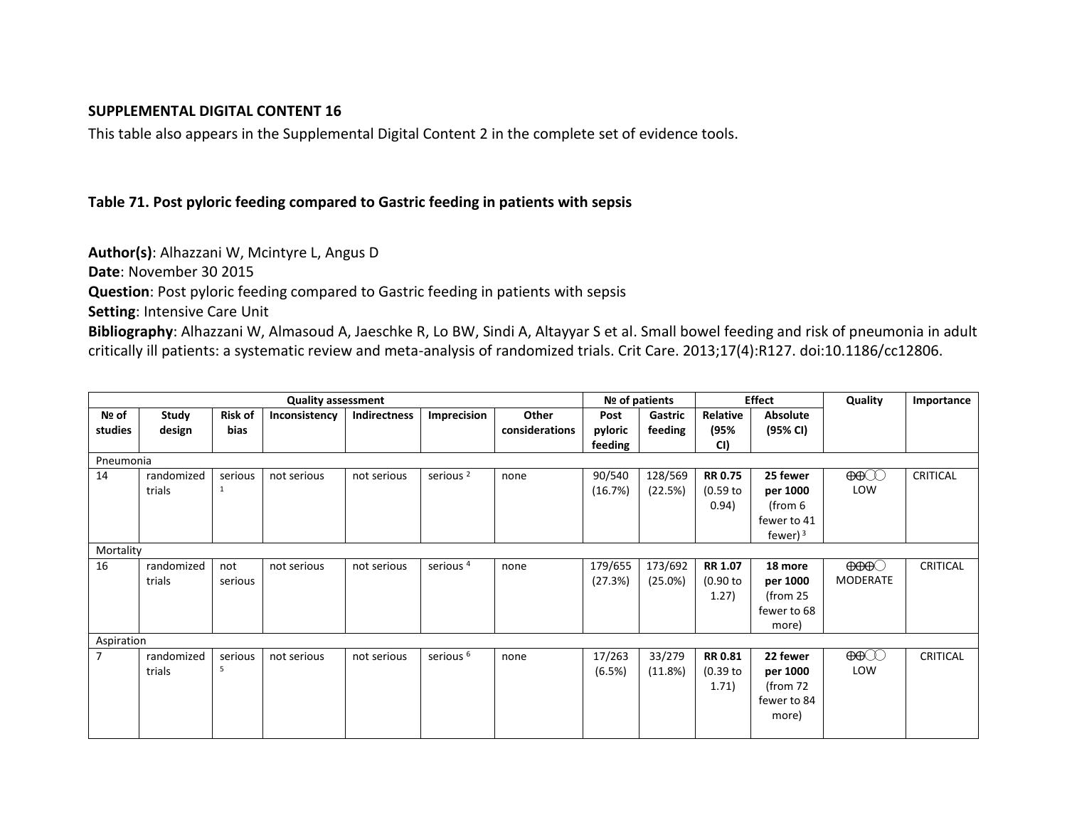### **SUPPLEMENTAL DIGITAL CONTENT 16**

This table also appears in the Supplemental Digital Content 2 in the complete set of evidence tools.

### **Table 71. Post pyloric feeding compared to Gastric feeding in patients with sepsis**

**Author(s)**: Alhazzani W, Mcintyre L, Angus D

**Date**: November 30 2015

**Question**: Post pyloric feeding compared to Gastric feeding in patients with sepsis

**Setting**: Intensive Care Unit

**Bibliography**: Alhazzani W, Almasoud A, Jaeschke R, Lo BW, Sindi A, Altayyar S et al. Small bowel feeding and risk of pneumonia in adult critically ill patients: a systematic review and meta-analysis of randomized trials. Crit Care. 2013;17(4):R127. doi:10.1186/cc12806.

|                |            |                | <b>Quality assessment</b> |              | Nº of patients       |                | <b>Effect</b> |         | Quality        | Importance      |                                                                                                                                          |                 |
|----------------|------------|----------------|---------------------------|--------------|----------------------|----------------|---------------|---------|----------------|-----------------|------------------------------------------------------------------------------------------------------------------------------------------|-----------------|
| Nº of          | Study      | <b>Risk of</b> | Inconsistency             | Indirectness | Imprecision          | Other          | Post          | Gastric | Relative       | <b>Absolute</b> |                                                                                                                                          |                 |
| studies        | design     | bias           |                           |              |                      | considerations | pyloric       | feeding | (95%           | (95% CI)        |                                                                                                                                          |                 |
|                |            |                |                           |              |                      |                | feeding       |         | CI)            |                 |                                                                                                                                          |                 |
| Pneumonia      |            |                |                           |              |                      |                |               |         |                |                 |                                                                                                                                          |                 |
| 14             | randomized | serious        | not serious               | not serious  | serious <sup>2</sup> | none           | 90/540        | 128/569 | <b>RR 0.75</b> | 25 fewer        | $\bigoplus$                                                                                                                              | CRITICAL        |
|                | trials     | 1              |                           |              |                      |                | (16.7%)       | (22.5%) | $(0.59$ to     | per 1000        | LOW                                                                                                                                      |                 |
|                |            |                |                           |              |                      |                |               |         | 0.94)          | (from 6         |                                                                                                                                          |                 |
|                |            |                |                           |              |                      |                |               |         |                | fewer to 41     |                                                                                                                                          |                 |
|                |            |                |                           |              |                      |                |               |         |                | fewer) $3$      |                                                                                                                                          |                 |
| Mortality      |            |                |                           |              |                      |                |               |         |                |                 |                                                                                                                                          |                 |
| 16             | randomized | not            | not serious               | not serious  | serious <sup>4</sup> | none           | 179/655       | 173/692 | <b>RR 1.07</b> | 18 more         | $\Theta\Theta\Theta$                                                                                                                     | <b>CRITICAL</b> |
|                | trials     | serious        |                           |              |                      |                | (27.3%)       | (25.0%) | (0.90 to       | per 1000        | MODERATE                                                                                                                                 |                 |
|                |            |                |                           |              |                      |                |               |         | 1.27)          | (from $25$      |                                                                                                                                          |                 |
|                |            |                |                           |              |                      |                |               |         |                | fewer to 68     |                                                                                                                                          |                 |
|                |            |                |                           |              |                      |                |               |         |                | more)           |                                                                                                                                          |                 |
| Aspiration     |            |                |                           |              |                      |                |               |         |                |                 |                                                                                                                                          |                 |
| $\overline{7}$ | randomized | serious        | not serious               | not serious  | serious <sup>6</sup> | none           | 17/263        | 33/279  | <b>RR 0.81</b> | 22 fewer        | $\bigoplus\hspace{-0.15cm}\bigoplus\hspace{-0.15cm}\bigoplus\hspace{-0.15cm}\bigoplus\hspace{-0.15cm}\bigoplus\hspace{-0.15cm}\bigoplus$ | <b>CRITICAL</b> |
|                | trials     | 5              |                           |              |                      |                | (6.5%)        | (11.8%) | $(0.39$ to     | per 1000        | LOW                                                                                                                                      |                 |
|                |            |                |                           |              |                      |                |               |         | 1.71)          | (from $72$      |                                                                                                                                          |                 |
|                |            |                |                           |              |                      |                |               |         |                | fewer to 84     |                                                                                                                                          |                 |
|                |            |                |                           |              |                      |                |               |         |                | more)           |                                                                                                                                          |                 |
|                |            |                |                           |              |                      |                |               |         |                |                 |                                                                                                                                          |                 |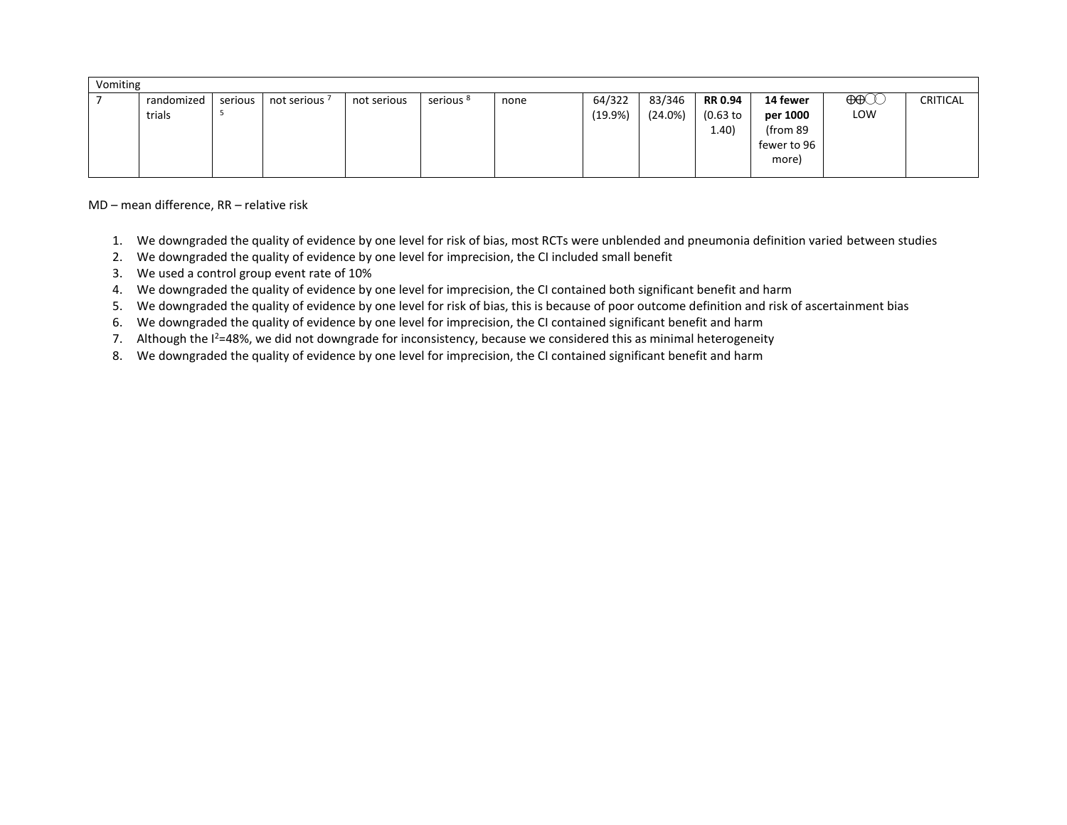| Vomiting |  |            |         |               |             |                      |      |         |            |            |             |                                    |                 |
|----------|--|------------|---------|---------------|-------------|----------------------|------|---------|------------|------------|-------------|------------------------------------|-----------------|
|          |  | randomized | serious | not serious 7 | not serious | serious <sup>8</sup> | none | 64/322  | 83/346     | RR 0.94    | 14 fewer    | $\bigoplus\hspace{-0.15cm}\bigcup$ | <b>CRITICAL</b> |
|          |  | trials     |         |               |             |                      |      | (19.9%) | $(24.0\%)$ | $(0.63$ to | per 1000    | LOW                                |                 |
|          |  |            |         |               |             |                      |      |         |            | (1.40)     | (from 89    |                                    |                 |
|          |  |            |         |               |             |                      |      |         |            |            | fewer to 96 |                                    |                 |
|          |  |            |         |               |             |                      |      |         |            |            | more)       |                                    |                 |
|          |  |            |         |               |             |                      |      |         |            |            |             |                                    |                 |

MD – mean difference, RR – relative risk

- 1. We downgraded the quality of evidence by one level for risk of bias, most RCTs were unblended and pneumonia definition varied between studies
- 2. We downgraded the quality of evidence by one level for imprecision, the CI included small benefit
- 3. We used a control group event rate of 10%
- 4. We downgraded the quality of evidence by one level for imprecision, the CI contained both significant benefit and harm
- 5. We downgraded the quality of evidence by one level for risk of bias, this is because of poor outcome definition and risk of ascertainment bias
- 6. We downgraded the quality of evidence by one level for imprecision, the CI contained significant benefit and harm
- 7. Although the  $I^2=48\%$ , we did not downgrade for inconsistency, because we considered this as minimal heterogeneity
- 8. We downgraded the quality of evidence by one level for imprecision, the CI contained significant benefit and harm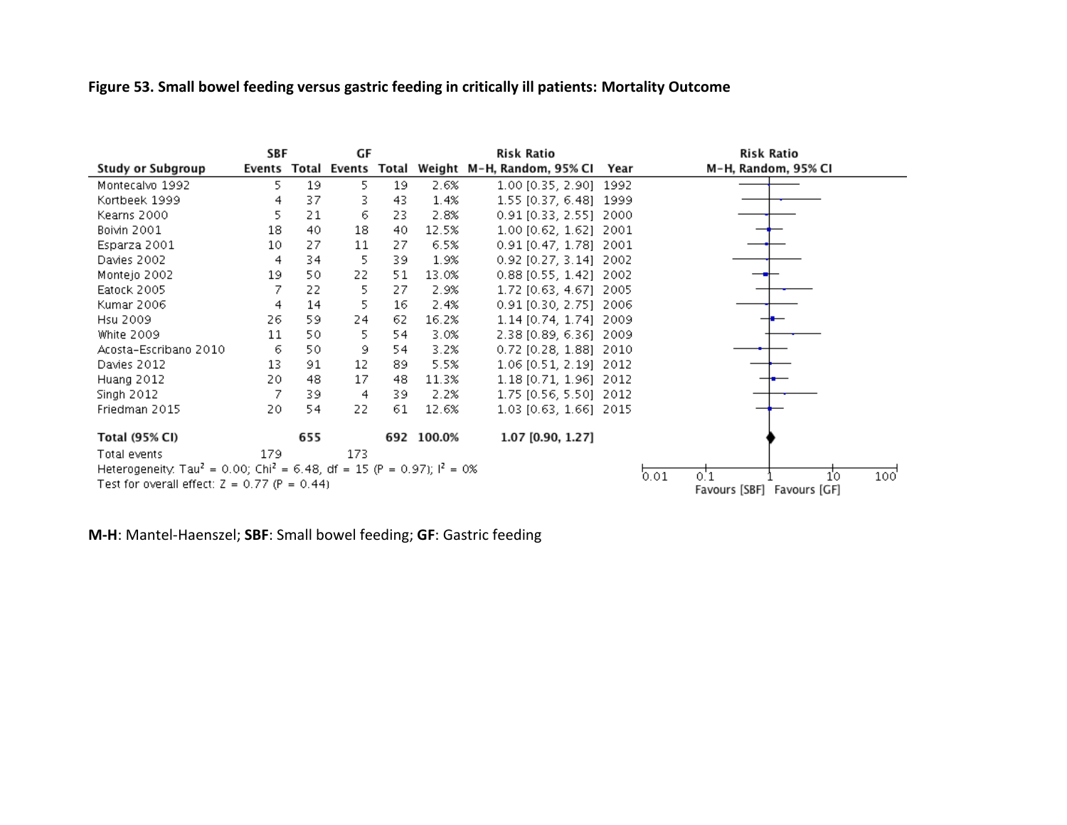# **Figure 53. Small bowel feeding versus gastric feeding in critically ill patients: Mortality Outcome**

|                                                                                                 | SBF  |     | GF  |     |            | Risk Ratio                                           |      |      | Risk Ratio                 |      |
|-------------------------------------------------------------------------------------------------|------|-----|-----|-----|------------|------------------------------------------------------|------|------|----------------------------|------|
| Study or Subgroup                                                                               |      |     |     |     |            | Events Total Events Total Weight M-H, Random, 95% CI | Year |      | M-H, Random, 95% CI        |      |
| Montecalvo 1992                                                                                 | 5.   | 19  | 5.  | 19  | 2.6%       | 1.00 [0.35, 2.90] 1992                               |      |      |                            |      |
| Kortbeek 1999                                                                                   | 4    | 37  | 3   | 43  | 1.4%       | 1.55 [0.37, 6.48] 1999                               |      |      |                            |      |
| Kearns 2000                                                                                     | 5    | 21  | 6   | 23. | 2.8%       | 0.91 [0.33, 2.55] 2000                               |      |      |                            |      |
| Boivin 2001                                                                                     | 18   | 40  | 18  | 40  | 12.5%      | 1.00 [0.62, 1.62] 2001                               |      |      |                            |      |
| Esparza 2001                                                                                    | 10   | 27  | 11  | 27  | 6.5%       | 0.91 [0.47, 1.78] 2001                               |      |      |                            |      |
| Davies 2002                                                                                     | 4    | 34  | 5   | 39  | 1.9%       | 0.92 [0.27, 3.14] 2002                               |      |      |                            |      |
| Montejo 2002                                                                                    | 19   | 50  | 22  | 51  | 13.0%      | 0.88 [0.55, 1.42] 2002                               |      |      |                            |      |
| Eatock 2005                                                                                     |      | 22  | 5   | 27  | 2.9%       | 1.72 [0.63, 4.67] 2005                               |      |      |                            |      |
| Kumar 2006                                                                                      | 4    | 14  | 5   | 16  | 2.4%       | 0.91 [0.30, 2.75] 2006                               |      |      |                            |      |
| Hsu 2009                                                                                        | 26   | 59  | 24  | 62. | 16.2%      | 1.14 [0.74, 1.74] 2009                               |      |      |                            |      |
| White 2009                                                                                      | 11   | 50  | 5.  | 54  | 3.0%       | 2.38 [0.89, 6.36] 2009                               |      |      |                            |      |
| Acosta-Escribano 2010                                                                           | 6    | 50  | 9.  | 54  | 3.2%       | 0.72 [0.28, 1.88] 2010                               |      |      |                            |      |
| Davies 2012                                                                                     | 13   | 91  | 12  | 89  | 5.5%       | 1.06 [0.51, 2.19] 2012                               |      |      |                            |      |
| Huang 2012                                                                                      | 20   | 48  | 17  | 48  | 11.3%      | 1.18 [0.71, 1.96] 2012                               |      |      |                            |      |
| Singh 2012                                                                                      |      | 39  | 4   | 39  | 2.2%       | 1.75 [0.56, 5.50] 2012                               |      |      |                            |      |
| Friedman 2015                                                                                   | 20   | 54  | 22  | 61  | 12.6%      | 1.03 [0.63, 1.66] 2015                               |      |      |                            |      |
| Total (95% CI)                                                                                  |      | 655 |     |     | 692 100.0% | 1.07 [0.90, 1.27]                                    |      |      |                            |      |
| Total events                                                                                    | 179. |     | 173 |     |            |                                                      |      |      |                            |      |
| Heterogeneity. Tau <sup>2</sup> = 0.00; Chi <sup>2</sup> = 6.48, df = 15 (P = 0.97); $l^2$ = 0% |      |     |     |     |            |                                                      |      |      |                            |      |
| Test for overall effect: $Z = 0.77$ (P = 0.44)                                                  |      |     |     |     |            |                                                      |      | 0.01 | 0.1<br>10 <sub>o</sub>     | 100' |
|                                                                                                 |      |     |     |     |            |                                                      |      |      | Favours [SBF] Favours [GF] |      |

**M-H**: Mantel-Haenszel; **SBF**: Small bowel feeding; **GF**: Gastric feeding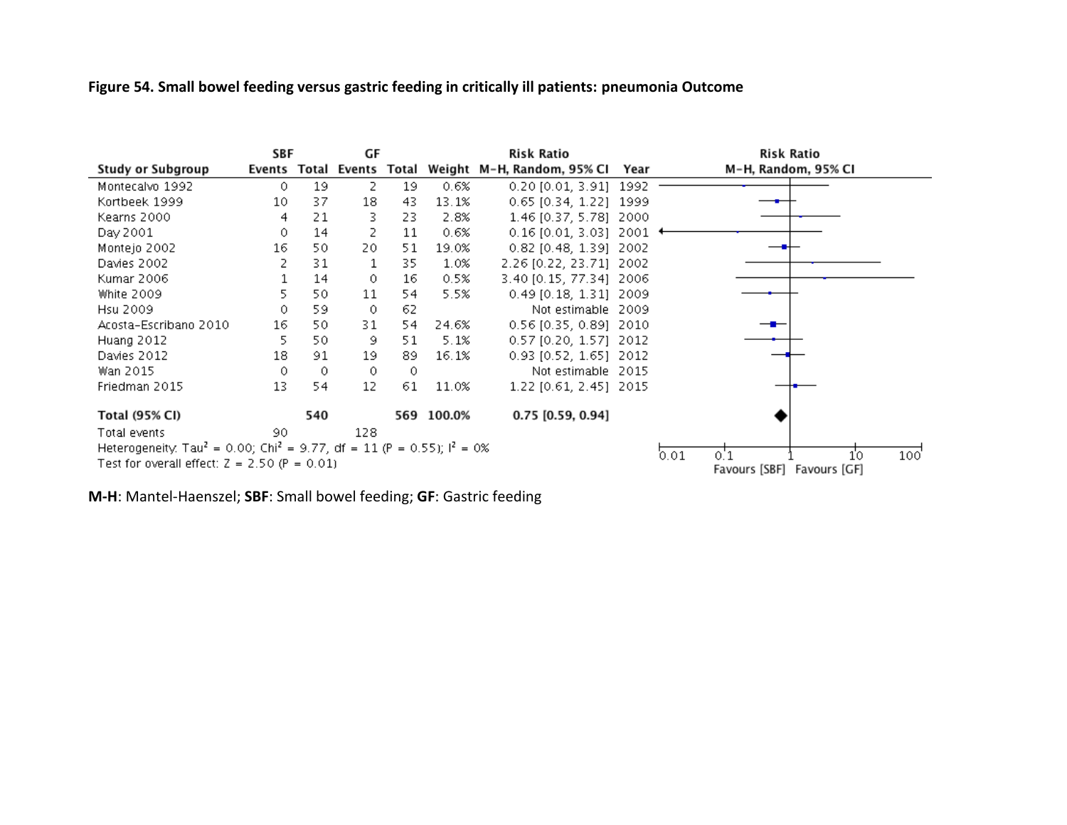# **Figure 54. Small bowel feeding versus gastric feeding in critically ill patients: pneumonia Outcome**

|                                                                                                                                                   | SBF<br>GF |     |         | Risk Ratio | Risk Ratio |                                                           |                                                            |
|---------------------------------------------------------------------------------------------------------------------------------------------------|-----------|-----|---------|------------|------------|-----------------------------------------------------------|------------------------------------------------------------|
| Study or Subgroup                                                                                                                                 |           |     |         |            |            | Events Total Events Total Weight M-H, Random, 95% Cl Year | M-H, Random, 95% CI                                        |
| Montecalvo 1992                                                                                                                                   | 0         | 19  | 2       | 19         | 0.6%       | $0.20$ [0.01, 3.91] 1992                                  |                                                            |
| Kortbeek 1999                                                                                                                                     | 10        | 37  | 18      | 43.        | 13.1%      | 0.65 [0.34, 1.22] 1999                                    |                                                            |
| Kearns 2000                                                                                                                                       | 4         | 21  | З.      | 23.        | 2.8%       | 1.46 [0.37, 5.78] 2000                                    |                                                            |
| Day 2001                                                                                                                                          | 0.        | 14  | 2       | 11         | 0.6%       | $0.16$ [0.01, 3.03] 2001                                  |                                                            |
| Montejo 2002                                                                                                                                      | 16        | 50  | 20.     | 51         | 19.0%      | 0.82 [0.48, 1.39] 2002                                    |                                                            |
| Davies 2002                                                                                                                                       |           | 31  | 1       | 35         | 1.0%       | 2.26 [0.22, 23.71] 2002                                   |                                                            |
| Kumar 2006                                                                                                                                        |           | 14  | $\circ$ | 16         | 0.5%       | 3.40 [0.15, 77.34] 2006                                   |                                                            |
| White 2009                                                                                                                                        | 5.        | 50  | 11      | 54         | 5.5%       | $0.49$ [0.18, 1.31] 2009                                  |                                                            |
| Hsu 2009                                                                                                                                          | 0.        | 59  | $\circ$ | 62         |            | Not estimable 2009                                        |                                                            |
| Acosta-Escribano 2010                                                                                                                             | 16        | 50  | 31      | 54         | 24.6%      | 0.56 [0.35, 0.89] 2010                                    |                                                            |
| Huang 2012                                                                                                                                        | 5         | 50  | 9       | 51         | 5.1%       | 0.57 [0.20, 1.57] 2012                                    |                                                            |
| Davies 2012                                                                                                                                       | 18        | 91  | 19      | 89.        | 16.1%      | $0.93$ [0.52, 1.65] 2012                                  |                                                            |
| Wan 2015                                                                                                                                          | 0         | 0   | 0       | 0          |            | Not estimable 2015                                        |                                                            |
| Friedman 2015                                                                                                                                     | 13        | 54  | 12      | 61         | 11.0%      | 1.22 [0.61, 2.45] 2015                                    |                                                            |
| Total (95% CI)                                                                                                                                    |           | 540 |         |            | 569 100.0% | $0.75$ [0.59, 0.94]                                       |                                                            |
| Total events                                                                                                                                      | 90.       |     | 128     |            |            |                                                           |                                                            |
| Heterogeneity: Tau <sup>2</sup> = 0.00; Chi <sup>2</sup> = 9.77, df = 11 (P = 0.55); $1^2$ = 0%<br>Test for overall effect: $Z = 2.50$ (P = 0.01) |           |     |         |            |            |                                                           | 0.01<br>100'<br>10<br>0.1<br>Favours [SBF]<br>Favours [GF] |

**M-H**: Mantel-Haenszel; **SBF**: Small bowel feeding; **GF**: Gastric feeding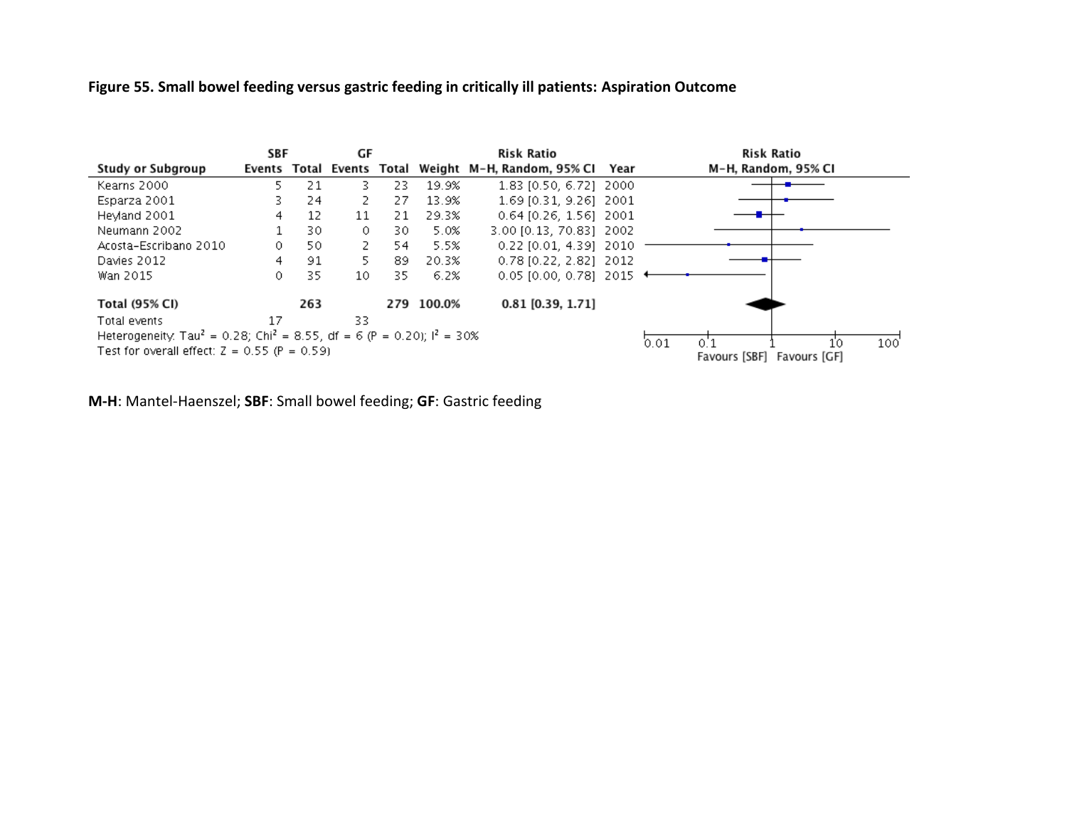#### **Figure 55. Small bowel feeding versus gastric feeding in critically ill patients: Aspiration Outcome**



**M-H**: Mantel-Haenszel; **SBF**: Small bowel feeding; **GF**: Gastric feeding